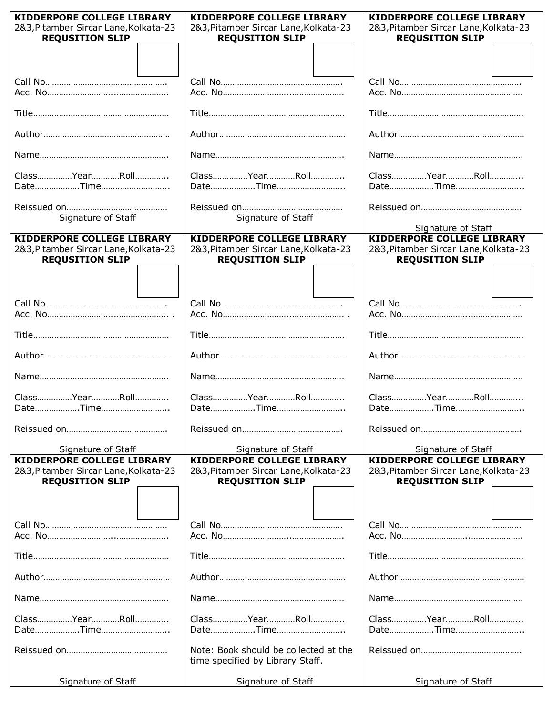| KIDDERPORE COLLEGE LIBRARY            | <b>KIDDERPORE COLLEGE LIBRARY</b>     | KIDDERPORE COLLEGE LIBRARY            |
|---------------------------------------|---------------------------------------|---------------------------------------|
| 2&3, Pitamber Sircar Lane, Kolkata-23 | 2&3, Pitamber Sircar Lane, Kolkata-23 | 2&3, Pitamber Sircar Lane, Kolkata-23 |
| <b>REQUSITION SLIP</b>                | <b>REQUSITION SLIP</b>                | <b>REQUSITION SLIP</b>                |
|                                       |                                       |                                       |
|                                       |                                       |                                       |
|                                       |                                       |                                       |
|                                       |                                       |                                       |
|                                       |                                       |                                       |
|                                       |                                       |                                       |
|                                       |                                       |                                       |
|                                       |                                       |                                       |
|                                       |                                       |                                       |
| ClassYearRoll                         | ClassYearRoll                         | ClassYearRoll                         |
|                                       |                                       |                                       |
|                                       |                                       |                                       |
|                                       |                                       |                                       |
| Signature of Staff                    | Signature of Staff                    | Signature of Staff                    |
| KIDDERPORE COLLEGE LIBRARY            | KIDDERPORE COLLEGE LIBRARY            | <b>KIDDERPORE COLLEGE LIBRARY</b>     |
| 2&3, Pitamber Sircar Lane, Kolkata-23 | 2&3, Pitamber Sircar Lane, Kolkata-23 | 2&3, Pitamber Sircar Lane, Kolkata-23 |
| <b>REQUSITION SLIP</b>                | <b>REQUSITION SLIP</b>                | <b>REQUSITION SLIP</b>                |
|                                       |                                       |                                       |
|                                       |                                       |                                       |
|                                       |                                       |                                       |
|                                       |                                       |                                       |
|                                       |                                       |                                       |
|                                       |                                       |                                       |
|                                       |                                       |                                       |
|                                       |                                       |                                       |
|                                       |                                       |                                       |
| ClassYearRoll                         | ClassYearRoll                         | ClassYearRoll                         |
|                                       |                                       |                                       |
|                                       |                                       |                                       |
|                                       |                                       |                                       |
| Signature of Staff                    | Signature of Staff                    | Signature of Staff                    |
| <b>KIDDERPORE COLLEGE LIBRARY</b>     | <b>KIDDERPORE COLLEGE LIBRARY</b>     | <b>KIDDERPORE COLLEGE LIBRARY</b>     |
| 2&3, Pitamber Sircar Lane, Kolkata-23 | 2&3, Pitamber Sircar Lane, Kolkata-23 | 2&3, Pitamber Sircar Lane, Kolkata-23 |
| <b>REQUSITION SLIP</b>                | <b>REQUSITION SLIP</b>                | <b>REQUSITION SLIP</b>                |
|                                       |                                       |                                       |
|                                       |                                       |                                       |
|                                       |                                       |                                       |
|                                       |                                       |                                       |
|                                       |                                       |                                       |
|                                       |                                       |                                       |
|                                       |                                       |                                       |
|                                       |                                       |                                       |
|                                       |                                       |                                       |
| ClassYearRoll                         | ClassYearRoll                         | ClassYearRoll                         |
|                                       |                                       |                                       |
|                                       | Note: Book should be collected at the |                                       |
|                                       | time specified by Library Staff.      |                                       |
|                                       |                                       |                                       |
| Signature of Staff                    | Signature of Staff                    | Signature of Staff                    |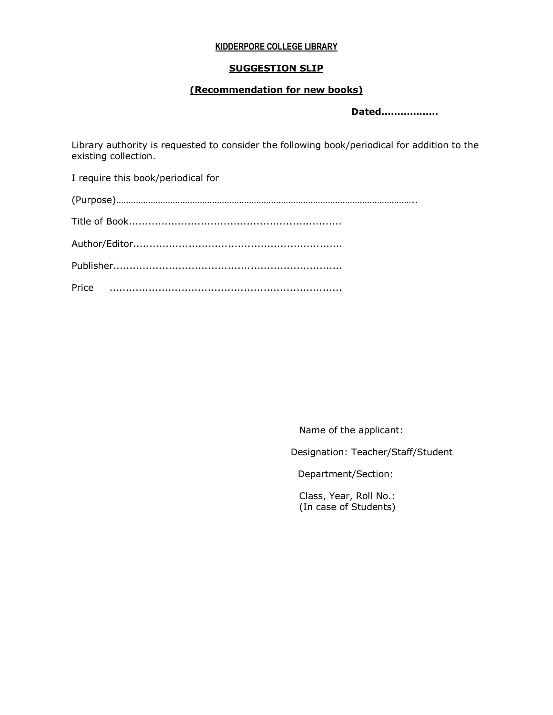#### **KIDDERPORE COLLEGE LIBRARY**

#### **SUGGESTION SLIP**

## **(Recommendation for new books)**

 **Dated………………**

Library authority is requested to consider the following book/periodical for addition to the existing collection.

I require this book/periodical for

Name of the applicant:

Designation: Teacher/Staff/Student

Department/Section:

Class, Year, Roll No.: (In case of Students)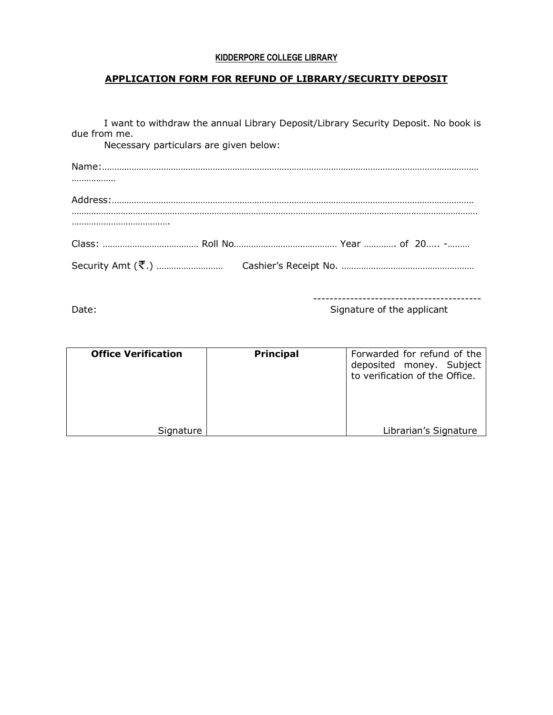## **KIDDERPORE COLLEGE LIBRARY**

# **APPLICATION FORM FOR REFUND OF LIBRARY/SECURITY DEPOSIT**

| due from me.<br>Necessary particulars are given below: | I want to withdraw the annual Library Deposit/Library Security Deposit. No book is |
|--------------------------------------------------------|------------------------------------------------------------------------------------|
|                                                        |                                                                                    |
|                                                        |                                                                                    |
|                                                        |                                                                                    |
|                                                        |                                                                                    |
|                                                        |                                                                                    |
|                                                        |                                                                                    |

----------------------------------------- Date: Case of the applicant control of the applicant control of the applicant control of the applicant

| <b>Office Verification</b> | <b>Principal</b> | Forwarded for refund of the<br>deposited money. Subject<br>to verification of the Office. |
|----------------------------|------------------|-------------------------------------------------------------------------------------------|
| Signature                  |                  | Librarian's Signature                                                                     |